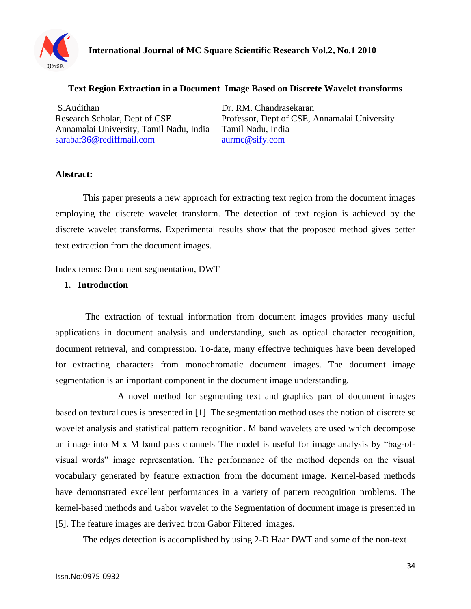

#### **Text Region Extraction in a Document Image Based on Discrete Wavelet transforms**

S.Audithan Dr. RM. Chandrasekaran Annamalai University, Tamil Nadu, India Tamil Nadu, India [sarabar36@rediffmail.com](mailto:sarabar36@rediffmail.com) [aurmc@sify.com](mailto:aurmc@sify.com)

Research Scholar, Dept of CSE Professor, Dept of CSE, Annamalai University

#### **Abstract:**

This paper presents a new approach for extracting text region from the document images employing the discrete wavelet transform. The detection of text region is achieved by the discrete wavelet transforms. Experimental results show that the proposed method gives better text extraction from the document images.

Index terms: Document segmentation, DWT

#### **1. Introduction**

The extraction of textual information from document images provides many useful applications in document analysis and understanding, such as optical character recognition, document retrieval, and compression. To-date, many effective techniques have been developed for extracting characters from monochromatic document images. The document image segmentation is an important component in the document image understanding.

 A novel method for segmenting text and graphics part of document images based on textural cues is presented in [1]. The segmentation method uses the notion of discrete sc wavelet analysis and statistical pattern recognition. M band wavelets are used which decompose an image into M x M band pass channels The model is useful for image analysis by "bag-ofvisual words" image representation. The performance of the method depends on the visual vocabulary generated by feature extraction from the document image. Kernel-based methods have demonstrated excellent performances in a variety of pattern recognition problems. The kernel-based methods and Gabor wavelet to the Segmentation of document image is presented in [5]. The feature images are derived from Gabor Filtered images.

The edges detection is accomplished by using 2-D Haar DWT and some of the non-text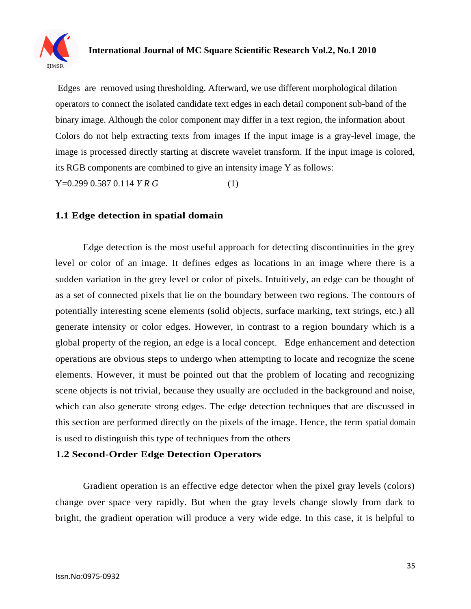

## **International Journal of MC Square Scientific Research Vol.2, No.1 2010**

Edges are removed using thresholding. Afterward, we use different morphological dilation operators to connect the isolated candidate text edges in each detail component sub-band of the binary image. Although the color component may differ in a text region, the information about Colors do not help extracting texts from images If the input image is a gray-level image, the image is processed directly starting at discrete wavelet transform. If the input image is colored, its RGB components are combined to give an intensity image Y as follows:

Y=0.299 0.587 0.114 *Y R G* (1)

#### **1.1 Edge detection in spatial domain**

Edge detection is the most useful approach for detecting discontinuities in the grey level or color of an image. It defines edges as locations in an image where there is a sudden variation in the grey level or color of pixels. Intuitively, an edge can be thought of as a set of connected pixels that lie on the boundary between two regions. The contours of potentially interesting scene elements (solid objects, surface marking, text strings, etc.) all generate intensity or color edges. However, in contrast to a region boundary which is a global property of the region, an edge is a local concept. Edge enhancement and detection operations are obvious steps to undergo when attempting to locate and recognize the scene elements. However, it must be pointed out that the problem of locating and recognizing scene objects is not trivial, because they usually are occluded in the background and noise, which can also generate strong edges. The edge detection techniques that are discussed in this section are performed directly on the pixels of the image. Hence, the term spatial domain is used to distinguish this type of techniques from the others

#### **1.2 Second-Order Edge Detection Operators**

Gradient operation is an effective edge detector when the pixel gray levels (colors) change over space very rapidly. But when the gray levels change slowly from dark to bright, the gradient operation will produce a very wide edge. In this case, it is helpful to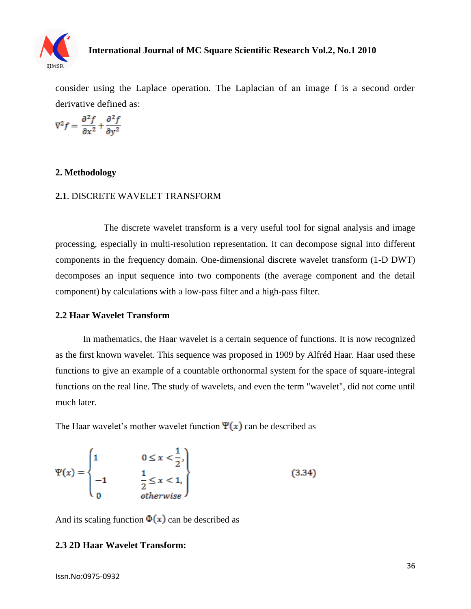

consider using the Laplace operation. The Laplacian of an image f is a second order derivative defined as:

$$
\nabla^2 f = \frac{\partial^2 f}{\partial x^2} + \frac{\partial^2 f}{\partial y^2}
$$

#### **2. Methodology**

#### **2.1**. DISCRETE WAVELET TRANSFORM

 The discrete wavelet transform is a very useful tool for signal analysis and image processing, especially in multi-resolution representation. It can decompose signal into different components in the frequency domain. One-dimensional discrete wavelet transform (1-D DWT) decomposes an input sequence into two components (the average component and the detail component) by calculations with a low-pass filter and a high-pass filter.

#### **2.2 Haar Wavelet Transform**

In mathematics, the Haar wavelet is a certain sequence of functions. It is now recognized as the first known wavelet. This sequence was proposed in 1909 by Alfréd Haar. Haar used these functions to give an example of a countable orthonormal system for the space of square-integral functions on the real line. The study of wavelets, and even the term "wavelet", did not come until much later.

The Haar wavelet's mother wavelet function  $\Psi(x)$  can be described as

$$
\Psi(x) = \begin{cases} 1 & 0 \le x < \frac{1}{2}, \\ -1 & \frac{1}{2} \le x < 1, \\ 0 & \text{otherwise} \end{cases} \tag{3.34}
$$

And its scaling function  $\Phi(x)$  can be described as

#### **2.3 2D Haar Wavelet Transform:**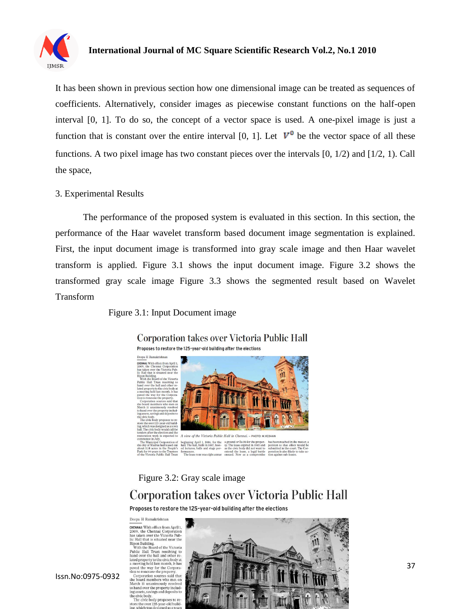

#### **International Journal of MC Square Scientific Research Vol.2, No.1 2010**

It has been shown in previous section how one dimensional image can be treated as sequences of coefficients. Alternatively, consider images as piecewise constant functions on the half-open interval [0, 1]. To do so, the concept of a vector space is used. A one-pixel image is just a function that is constant over the entire interval [0, 1]. Let  $V^0$  be the vector space of all these functions. A two pixel image has two constant pieces over the intervals [0, 1/2) and [1/2, 1). Call the space,

#### 3. Experimental Results

The performance of the proposed system is evaluated in this section. In this section, the performance of the Haar wavelet transform based document image segmentation is explained. First, the input document image is transformed into gray scale image and then Haar wavelet transform is applied. Figure 3.1 shows the input document image. Figure 3.2 shows the transformed gray scale image Figure 3.3 shows the segmented result based on Wavelet Transform

Figure 3.1: Input Document image



#### **Corporation takes over Victoria Public Hall**

Figure 3.2: Gray scale image

# Corporation takes over Victoria Public Hall

Proposes to restore the 125-year-old building after the elections

Deepa H Ramakrishnan **CHENNAI:** With effect from April 1,<br>2009, the Chennai Corporation<br>has taken over the Victoria Pub-<br>lic Hall that is situated near the<br>Dinan Dulldins is situated near the lic Hall that is situated near the Right<br>probability is situated near the Rights Hall that Paosin's Public Hall<br>Trust resolving to hand over the hall and other re-lated property<br>to the civic body at a meeting held last mo to hand over the property including assets, savings and deposits to osits to e civic body.<br>The civic body proposes to re-

store the over 12



Issn.No:0975-0932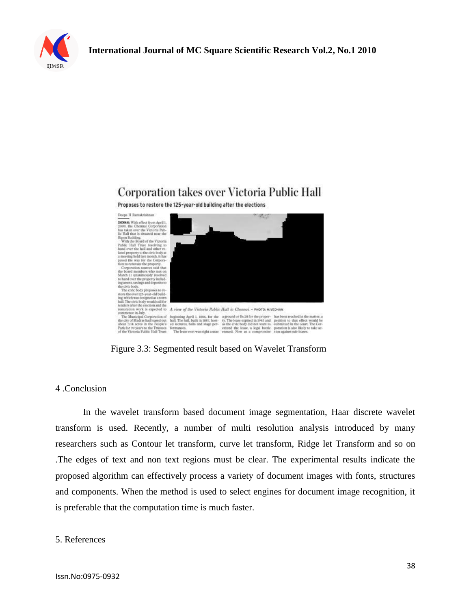

# Corporation takes over Victoria Public Hall

Proposes to restore the 125-year-old building after the elections



Figure 3.3: Segmented result based on Wavelet Transform

#### 4 .Conclusion

In the wavelet transform based document image segmentation, Haar discrete wavelet transform is used. Recently, a number of multi resolution analysis introduced by many researchers such as Contour let transform, curve let transform, Ridge let Transform and so on .The edges of text and non text regions must be clear. The experimental results indicate the proposed algorithm can effectively process a variety of document images with fonts, structures and components. When the method is used to select engines for document image recognition, it is preferable that the computation time is much faster.

#### 5. References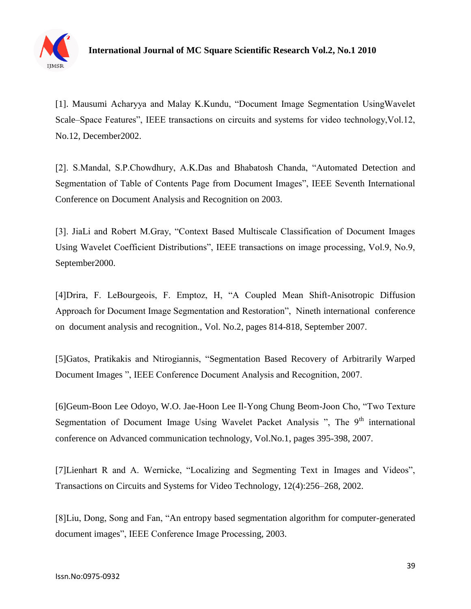

[1]. Mausumi Acharyya and Malay K.Kundu, "Document Image Segmentation UsingWavelet Scale–Space Features", IEEE transactions on circuits and systems for video technology,Vol.12, No.12, December2002.

[2]. S.Mandal, S.P.Chowdhury, A.K.Das and Bhabatosh Chanda, "Automated Detection and Segmentation of Table of Contents Page from Document Images", IEEE Seventh International Conference on Document Analysis and Recognition on 2003.

[3]. JiaLi and Robert M.Gray, "Context Based Multiscale Classification of Document Images Using Wavelet Coefficient Distributions", IEEE transactions on image processing, Vol.9, No.9, September2000.

[4]Drira, F. LeBourgeois, F. Emptoz, H, "A Coupled Mean Shift-Anisotropic Diffusion Approach for Document Image Segmentation and Restoration", Nineth international conference on document analysis and recognition., Vol. No.2, pages 814-818, September 2007.

[5]Gatos, Pratikakis and Ntirogiannis, ["Segmentation Based Recovery of Arbitrarily Warped](http://ieeexplore.ieee.org/search/srchabstract.jsp?tp=&arnumber=4377063&queryText%3DDocument+Image+Segmentation%26openedRefinements%3D*%26ranges%3D2000_2010_Publication_Year%26pageNumber%3D2%26searchField%3DSearch+All)  [Document Images "](http://ieeexplore.ieee.org/search/srchabstract.jsp?tp=&arnumber=4377063&queryText%3DDocument+Image+Segmentation%26openedRefinements%3D*%26ranges%3D2000_2010_Publication_Year%26pageNumber%3D2%26searchField%3DSearch+All), IEEE Conference Document Analysis and Recognition, 2007.

[6]Geum-Boon Lee Odoyo, W.O. Jae-Hoon Lee Il-Yong Chung Beom-Joon Cho, "Two Texture Segmentation of Document Image Using Wavelet Packet Analysis ", The  $9<sup>th</sup>$  international conference on Advanced communication technology, Vol.No.1, pages 395-398, 2007.

[7]Lienhart R and A. Wernicke, "Localizing and Segmenting Text in Images and Videos", Transactions on Circuits and Systems for Video Technology, 12(4):256–268, 2002.

[8]Liu, Dong, Song and Fan, ["An entropy based segmentation algorithm for computer-generated](http://ieeexplore.ieee.org/search/srchabstract.jsp?tp=&arnumber=1247018&queryText%3DDocument+Image+Segmentation%26openedRefinements%3D*%26ranges%3D2000_2010_Publication_Year%26searchField%3DSearch+All)  [document images"](http://ieeexplore.ieee.org/search/srchabstract.jsp?tp=&arnumber=1247018&queryText%3DDocument+Image+Segmentation%26openedRefinements%3D*%26ranges%3D2000_2010_Publication_Year%26searchField%3DSearch+All), IEEE Conference Image Processing, 2003.